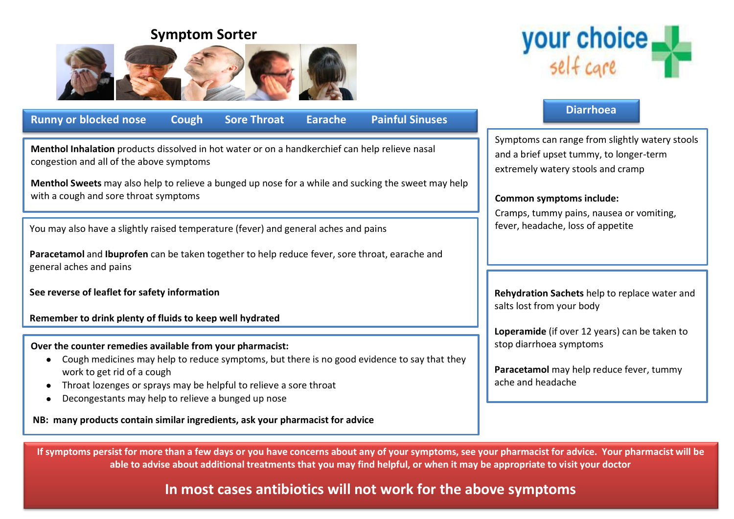# **Symptom Sorter**





**Menthol Inhalation** products dissolved in hot water or on a handkerchief can help relieve nasal congestion and all of the above symptoms

**Menthol Sweets** may also help to relieve a bunged up nose for a while and sucking the sweet may help with a cough and sore throat symptoms

You may also have a slightly raised temperature (fever) and general aches and pains

**Paracetamol** and **Ibuprofen** can be taken together to help reduce fever, sore throat, earache and general aches and pains

**See reverse of leaflet for safety information**

**Remember to drink plenty of fluids to keep well hydrated**

**Over the counter remedies available from your pharmacist:**

- Cough medicines may help to reduce symptoms, but there is no good evidence to say that they work to get rid of a cough
- Throat lozenges or sprays may be helpful to relieve a sore throat
- Decongestants may help to relieve a bunged up nose

**NB: many products contain similar ingredients, ask your pharmacist for advice**



# **Diarrhoea** Symptoms can range from slightly watery stools and a brief upset tummy, to longer-term extremely watery stools and cramp **Common symptoms include:** Cramps, tummy pains, nausea or vomiting, fever, headache, loss of appetite **Rehydration Sachets** help to replace water and salts lost from your body **Loperamide** (if over 12 years) can be taken to stop diarrhoea symptoms **Paracetamol** may help reduce fever, tummy ache and headache

**If symptoms persist for more than a few days or you have concerns about any of your symptoms, see your pharmacist for advice. Your pharmacist will be able to advise about additional treatments that you may find helpful, or when it may be appropriate to visit your doctor**

# **In most cases antibiotics will not work for the above symptoms**